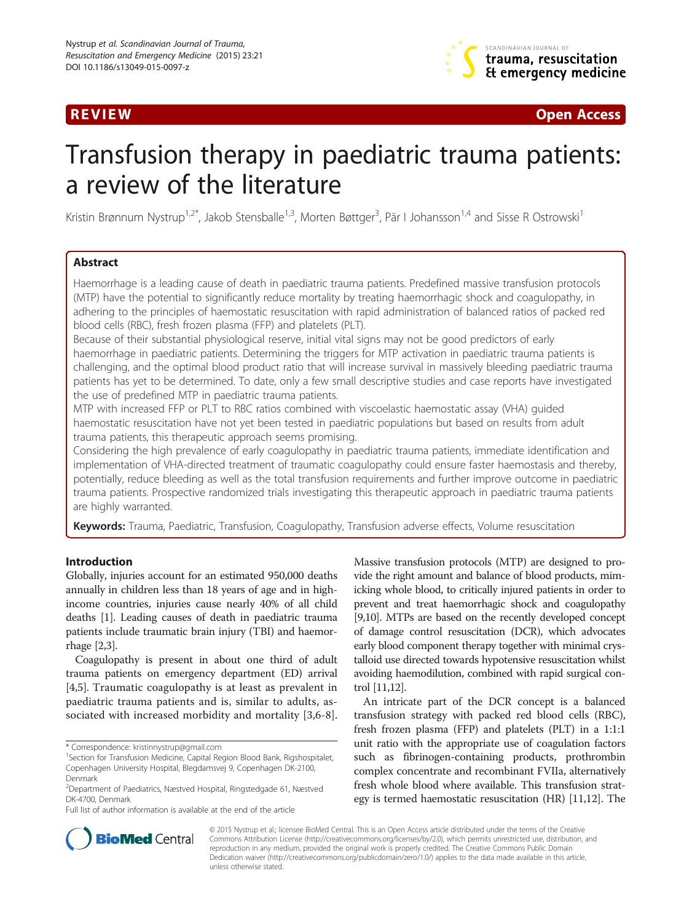

**REVIEW CONSTRUCTION CONSTRUCTION CONSTRUCTS** 

# Transfusion therapy in paediatric trauma patients: a review of the literature

Kristin Brønnum Nystrup<sup>1,2\*</sup>, Jakob Stensballe<sup>1,3</sup>, Morten Bøttger<sup>3</sup>, Pär I Johansson<sup>1,4</sup> and Sisse R Ostrowski<sup>1</sup>

# Abstract

Haemorrhage is a leading cause of death in paediatric trauma patients. Predefined massive transfusion protocols (MTP) have the potential to significantly reduce mortality by treating haemorrhagic shock and coagulopathy, in adhering to the principles of haemostatic resuscitation with rapid administration of balanced ratios of packed red blood cells (RBC), fresh frozen plasma (FFP) and platelets (PLT).

Because of their substantial physiological reserve, initial vital signs may not be good predictors of early haemorrhage in paediatric patients. Determining the triggers for MTP activation in paediatric trauma patients is challenging, and the optimal blood product ratio that will increase survival in massively bleeding paediatric trauma patients has yet to be determined. To date, only a few small descriptive studies and case reports have investigated the use of predefined MTP in paediatric trauma patients.

MTP with increased FFP or PLT to RBC ratios combined with viscoelastic haemostatic assay (VHA) guided haemostatic resuscitation have not yet been tested in paediatric populations but based on results from adult trauma patients, this therapeutic approach seems promising.

Considering the high prevalence of early coagulopathy in paediatric trauma patients, immediate identification and implementation of VHA-directed treatment of traumatic coagulopathy could ensure faster haemostasis and thereby, potentially, reduce bleeding as well as the total transfusion requirements and further improve outcome in paediatric trauma patients. Prospective randomized trials investigating this therapeutic approach in paediatric trauma patients are highly warranted.

Keywords: Trauma, Paediatric, Transfusion, Coagulopathy, Transfusion adverse effects, Volume resuscitation

# Introduction

Globally, injuries account for an estimated 950,000 deaths annually in children less than 18 years of age and in highincome countries, injuries cause nearly 40% of all child deaths [[1](#page-6-0)]. Leading causes of death in paediatric trauma patients include traumatic brain injury (TBI) and haemorrhage [\[2,3](#page-6-0)].

Coagulopathy is present in about one third of adult trauma patients on emergency department (ED) arrival [[4,5](#page-6-0)]. Traumatic coagulopathy is at least as prevalent in paediatric trauma patients and is, similar to adults, associated with increased morbidity and mortality [\[3,6-8](#page-6-0)].

Full list of author information is available at the end of the article

Massive transfusion protocols (MTP) are designed to provide the right amount and balance of blood products, mimicking whole blood, to critically injured patients in order to prevent and treat haemorrhagic shock and coagulopathy [[9,10\]](#page-6-0). MTPs are based on the recently developed concept of damage control resuscitation (DCR), which advocates early blood component therapy together with minimal crystalloid use directed towards hypotensive resuscitation whilst avoiding haemodilution, combined with rapid surgical control [\[11,12\]](#page-6-0).

An intricate part of the DCR concept is a balanced transfusion strategy with packed red blood cells (RBC), fresh frozen plasma (FFP) and platelets (PLT) in a 1:1:1 unit ratio with the appropriate use of coagulation factors such as fibrinogen-containing products, prothrombin complex concentrate and recombinant FVIIa, alternatively fresh whole blood where available. This transfusion strategy is termed haemostatic resuscitation (HR) [\[11,12](#page-6-0)]. The



© 2015 Nystrup et al.; licensee BioMed Central. This is an Open Access article distributed under the terms of the Creative Commons Attribution License [\(http://creativecommons.org/licenses/by/2.0\)](http://creativecommons.org/licenses/by/2.0), which permits unrestricted use, distribution, and reproduction in any medium, provided the original work is properly credited. The Creative Commons Public Domain Dedication waiver [\(http://creativecommons.org/publicdomain/zero/1.0/](http://creativecommons.org/publicdomain/zero/1.0/)) applies to the data made available in this article, unless otherwise stated.

<sup>\*</sup> Correspondence: [kristinnystrup@gmail.com](mailto:kristinnystrup@gmail.com) <sup>1</sup>

<sup>&</sup>lt;sup>1</sup>Section for Transfusion Medicine, Capital Region Blood Bank, Rigshospitalet, Copenhagen University Hospital, Blegdamsvej 9, Copenhagen DK-2100, Denmark

<sup>2</sup> Department of Paediatrics, Næstved Hospital, Ringstedgade 61, Næstved DK-4700, Denmark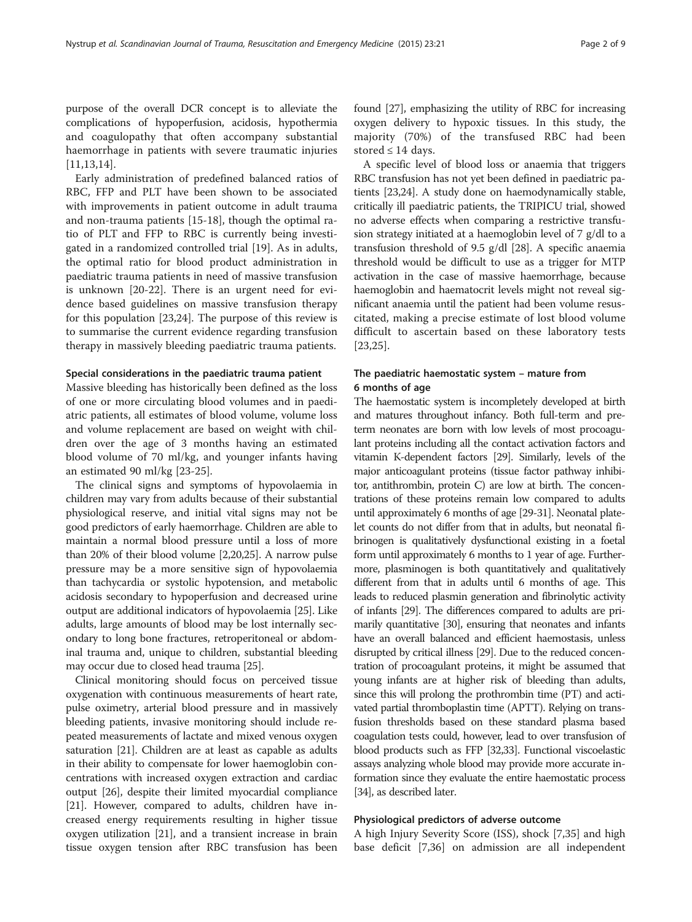purpose of the overall DCR concept is to alleviate the complications of hypoperfusion, acidosis, hypothermia and coagulopathy that often accompany substantial haemorrhage in patients with severe traumatic injuries [[11,13,14](#page-6-0)].

Early administration of predefined balanced ratios of RBC, FFP and PLT have been shown to be associated with improvements in patient outcome in adult trauma and non-trauma patients [\[15-18](#page-6-0)], though the optimal ratio of PLT and FFP to RBC is currently being investigated in a randomized controlled trial [[19\]](#page-6-0). As in adults, the optimal ratio for blood product administration in paediatric trauma patients in need of massive transfusion is unknown [\[20](#page-7-0)-[22\]](#page-7-0). There is an urgent need for evidence based guidelines on massive transfusion therapy for this population [[23,24\]](#page-7-0). The purpose of this review is to summarise the current evidence regarding transfusion therapy in massively bleeding paediatric trauma patients.

#### Special considerations in the paediatric trauma patient

Massive bleeding has historically been defined as the loss of one or more circulating blood volumes and in paediatric patients, all estimates of blood volume, volume loss and volume replacement are based on weight with children over the age of 3 months having an estimated blood volume of 70 ml/kg, and younger infants having an estimated 90 ml/kg [\[23](#page-7-0)-[25\]](#page-7-0).

The clinical signs and symptoms of hypovolaemia in children may vary from adults because of their substantial physiological reserve, and initial vital signs may not be good predictors of early haemorrhage. Children are able to maintain a normal blood pressure until a loss of more than 20% of their blood volume [[2](#page-6-0)[,20,25\]](#page-7-0). A narrow pulse pressure may be a more sensitive sign of hypovolaemia than tachycardia or systolic hypotension, and metabolic acidosis secondary to hypoperfusion and decreased urine output are additional indicators of hypovolaemia [\[25\]](#page-7-0). Like adults, large amounts of blood may be lost internally secondary to long bone fractures, retroperitoneal or abdominal trauma and, unique to children, substantial bleeding may occur due to closed head trauma [\[25](#page-7-0)].

Clinical monitoring should focus on perceived tissue oxygenation with continuous measurements of heart rate, pulse oximetry, arterial blood pressure and in massively bleeding patients, invasive monitoring should include repeated measurements of lactate and mixed venous oxygen saturation [[21](#page-7-0)]. Children are at least as capable as adults in their ability to compensate for lower haemoglobin concentrations with increased oxygen extraction and cardiac output [[26](#page-7-0)], despite their limited myocardial compliance [[21](#page-7-0)]. However, compared to adults, children have increased energy requirements resulting in higher tissue oxygen utilization [\[21\]](#page-7-0), and a transient increase in brain tissue oxygen tension after RBC transfusion has been found [[27](#page-7-0)], emphasizing the utility of RBC for increasing oxygen delivery to hypoxic tissues. In this study, the majority (70%) of the transfused RBC had been stored  $\leq 14$  days.

A specific level of blood loss or anaemia that triggers RBC transfusion has not yet been defined in paediatric patients [\[23,24\]](#page-7-0). A study done on haemodynamically stable, critically ill paediatric patients, the TRIPICU trial, showed no adverse effects when comparing a restrictive transfusion strategy initiated at a haemoglobin level of 7 g/dl to a transfusion threshold of 9.5 g/dl [\[28\]](#page-7-0). A specific anaemia threshold would be difficult to use as a trigger for MTP activation in the case of massive haemorrhage, because haemoglobin and haematocrit levels might not reveal significant anaemia until the patient had been volume resuscitated, making a precise estimate of lost blood volume difficult to ascertain based on these laboratory tests [[23,25](#page-7-0)].

# The paediatric haemostatic system – mature from 6 months of age

The haemostatic system is incompletely developed at birth and matures throughout infancy. Both full-term and preterm neonates are born with low levels of most procoagulant proteins including all the contact activation factors and vitamin K-dependent factors [[29\]](#page-7-0). Similarly, levels of the major anticoagulant proteins (tissue factor pathway inhibitor, antithrombin, protein C) are low at birth. The concentrations of these proteins remain low compared to adults until approximately 6 months of age [[29-31\]](#page-7-0). Neonatal platelet counts do not differ from that in adults, but neonatal fibrinogen is qualitatively dysfunctional existing in a foetal form until approximately 6 months to 1 year of age. Furthermore, plasminogen is both quantitatively and qualitatively different from that in adults until 6 months of age. This leads to reduced plasmin generation and fibrinolytic activity of infants [\[29](#page-7-0)]. The differences compared to adults are primarily quantitative [\[30](#page-7-0)], ensuring that neonates and infants have an overall balanced and efficient haemostasis, unless disrupted by critical illness [\[29](#page-7-0)]. Due to the reduced concentration of procoagulant proteins, it might be assumed that young infants are at higher risk of bleeding than adults, since this will prolong the prothrombin time (PT) and activated partial thromboplastin time (APTT). Relying on transfusion thresholds based on these standard plasma based coagulation tests could, however, lead to over transfusion of blood products such as FFP [\[32,33\]](#page-7-0). Functional viscoelastic assays analyzing whole blood may provide more accurate information since they evaluate the entire haemostatic process [[34\]](#page-7-0), as described later.

# Physiological predictors of adverse outcome

A high Injury Severity Score (ISS), shock [\[7](#page-6-0)[,35](#page-7-0)] and high base deficit [\[7](#page-6-0)[,36](#page-7-0)] on admission are all independent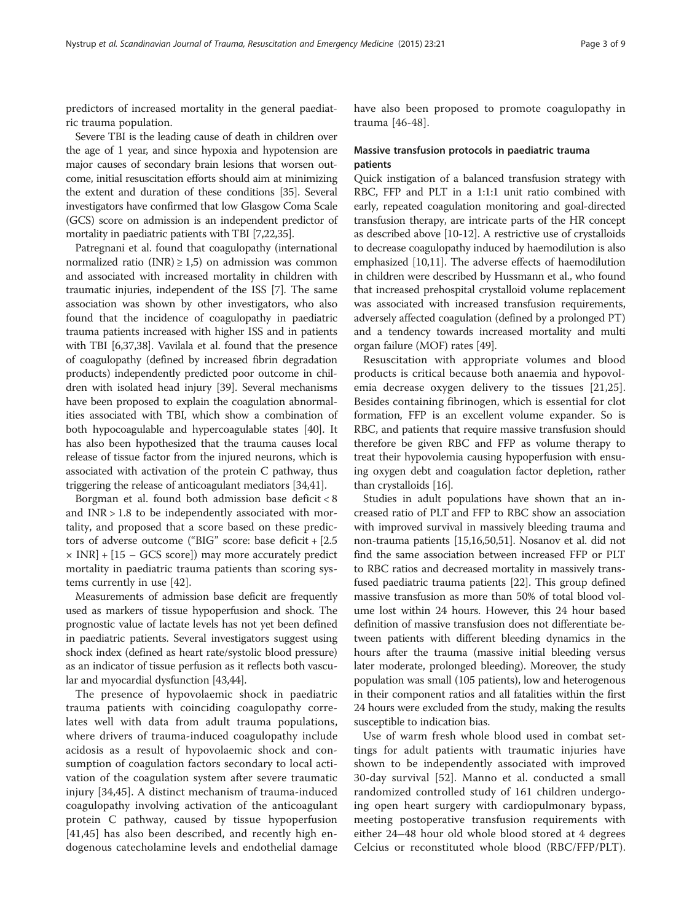predictors of increased mortality in the general paediatric trauma population.

Severe TBI is the leading cause of death in children over the age of 1 year, and since hypoxia and hypotension are major causes of secondary brain lesions that worsen outcome, initial resuscitation efforts should aim at minimizing the extent and duration of these conditions [[35](#page-7-0)]. Several investigators have confirmed that low Glasgow Coma Scale (GCS) score on admission is an independent predictor of mortality in paediatric patients with TBI [\[7](#page-6-0)[,22,35](#page-7-0)].

Patregnani et al. found that coagulopathy (international normalized ratio (INR)  $\geq$  1,5) on admission was common and associated with increased mortality in children with traumatic injuries, independent of the ISS [\[7](#page-6-0)]. The same association was shown by other investigators, who also found that the incidence of coagulopathy in paediatric trauma patients increased with higher ISS and in patients with TBI [\[6,](#page-6-0)[37](#page-7-0),[38](#page-7-0)]. Vavilala et al. found that the presence of coagulopathy (defined by increased fibrin degradation products) independently predicted poor outcome in children with isolated head injury [\[39\]](#page-7-0). Several mechanisms have been proposed to explain the coagulation abnormalities associated with TBI, which show a combination of both hypocoagulable and hypercoagulable states [[40](#page-7-0)]. It has also been hypothesized that the trauma causes local release of tissue factor from the injured neurons, which is associated with activation of the protein C pathway, thus triggering the release of anticoagulant mediators [[34,41](#page-7-0)].

Borgman et al. found both admission base deficit < 8 and INR > 1.8 to be independently associated with mortality, and proposed that a score based on these predictors of adverse outcome ("BIG" score: base deficit + [2.5  $\times$  INR] + [15 – GCS score]) may more accurately predict mortality in paediatric trauma patients than scoring systems currently in use [[42](#page-7-0)].

Measurements of admission base deficit are frequently used as markers of tissue hypoperfusion and shock. The prognostic value of lactate levels has not yet been defined in paediatric patients. Several investigators suggest using shock index (defined as heart rate/systolic blood pressure) as an indicator of tissue perfusion as it reflects both vascular and myocardial dysfunction [[43](#page-7-0),[44](#page-7-0)].

The presence of hypovolaemic shock in paediatric trauma patients with coinciding coagulopathy correlates well with data from adult trauma populations, where drivers of trauma-induced coagulopathy include acidosis as a result of hypovolaemic shock and consumption of coagulation factors secondary to local activation of the coagulation system after severe traumatic injury [\[34](#page-7-0),[45\]](#page-7-0). A distinct mechanism of trauma-induced coagulopathy involving activation of the anticoagulant protein C pathway, caused by tissue hypoperfusion [[41,45](#page-7-0)] has also been described, and recently high endogenous catecholamine levels and endothelial damage

have also been proposed to promote coagulopathy in trauma [[46-48](#page-7-0)].

# Massive transfusion protocols in paediatric trauma patients

Quick instigation of a balanced transfusion strategy with RBC, FFP and PLT in a 1:1:1 unit ratio combined with early, repeated coagulation monitoring and goal-directed transfusion therapy, are intricate parts of the HR concept as described above [\[10-12\]](#page-6-0). A restrictive use of crystalloids to decrease coagulopathy induced by haemodilution is also emphasized [\[10,11](#page-6-0)]. The adverse effects of haemodilution in children were described by Hussmann et al., who found that increased prehospital crystalloid volume replacement was associated with increased transfusion requirements, adversely affected coagulation (defined by a prolonged PT) and a tendency towards increased mortality and multi organ failure (MOF) rates [\[49\]](#page-7-0).

Resuscitation with appropriate volumes and blood products is critical because both anaemia and hypovolemia decrease oxygen delivery to the tissues [[21,25](#page-7-0)]. Besides containing fibrinogen, which is essential for clot formation, FFP is an excellent volume expander. So is RBC, and patients that require massive transfusion should therefore be given RBC and FFP as volume therapy to treat their hypovolemia causing hypoperfusion with ensuing oxygen debt and coagulation factor depletion, rather than crystalloids [\[16](#page-6-0)].

Studies in adult populations have shown that an increased ratio of PLT and FFP to RBC show an association with improved survival in massively bleeding trauma and non-trauma patients [[15](#page-6-0),[16](#page-6-0)[,50,51\]](#page-7-0). Nosanov et al. did not find the same association between increased FFP or PLT to RBC ratios and decreased mortality in massively transfused paediatric trauma patients [\[22\]](#page-7-0). This group defined massive transfusion as more than 50% of total blood volume lost within 24 hours. However, this 24 hour based definition of massive transfusion does not differentiate between patients with different bleeding dynamics in the hours after the trauma (massive initial bleeding versus later moderate, prolonged bleeding). Moreover, the study population was small (105 patients), low and heterogenous in their component ratios and all fatalities within the first 24 hours were excluded from the study, making the results susceptible to indication bias.

Use of warm fresh whole blood used in combat settings for adult patients with traumatic injuries have shown to be independently associated with improved 30-day survival [[52\]](#page-7-0). Manno et al. conducted a small randomized controlled study of 161 children undergoing open heart surgery with cardiopulmonary bypass, meeting postoperative transfusion requirements with either 24–48 hour old whole blood stored at 4 degrees Celcius or reconstituted whole blood (RBC/FFP/PLT).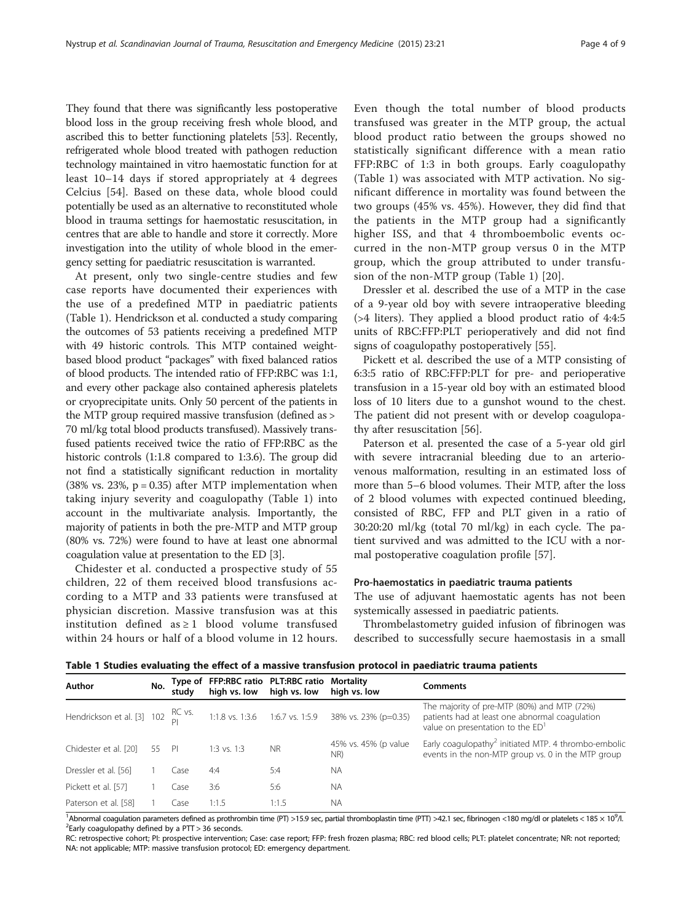They found that there was significantly less postoperative blood loss in the group receiving fresh whole blood, and ascribed this to better functioning platelets [[53](#page-7-0)]. Recently, refrigerated whole blood treated with pathogen reduction technology maintained in vitro haemostatic function for at least 10–14 days if stored appropriately at 4 degrees Celcius [[54\]](#page-7-0). Based on these data, whole blood could potentially be used as an alternative to reconstituted whole blood in trauma settings for haemostatic resuscitation, in centres that are able to handle and store it correctly. More investigation into the utility of whole blood in the emergency setting for paediatric resuscitation is warranted.

At present, only two single-centre studies and few case reports have documented their experiences with the use of a predefined MTP in paediatric patients (Table 1). Hendrickson et al. conducted a study comparing the outcomes of 53 patients receiving a predefined MTP with 49 historic controls. This MTP contained weightbased blood product "packages" with fixed balanced ratios of blood products. The intended ratio of FFP:RBC was 1:1, and every other package also contained apheresis platelets or cryoprecipitate units. Only 50 percent of the patients in the MTP group required massive transfusion (defined as > 70 ml/kg total blood products transfused). Massively transfused patients received twice the ratio of FFP:RBC as the historic controls (1:1.8 compared to 1:3.6). The group did not find a statistically significant reduction in mortality (38% vs. 23%,  $p = 0.35$ ) after MTP implementation when taking injury severity and coagulopathy (Table 1) into account in the multivariate analysis. Importantly, the majority of patients in both the pre-MTP and MTP group (80% vs. 72%) were found to have at least one abnormal coagulation value at presentation to the ED [\[3\]](#page-6-0).

Chidester et al. conducted a prospective study of 55 children, 22 of them received blood transfusions according to a MTP and 33 patients were transfused at physician discretion. Massive transfusion was at this institution defined as  $\geq 1$  blood volume transfused within 24 hours or half of a blood volume in 12 hours.

Even though the total number of blood products transfused was greater in the MTP group, the actual blood product ratio between the groups showed no statistically significant difference with a mean ratio FFP:RBC of 1:3 in both groups. Early coagulopathy (Table 1) was associated with MTP activation. No significant difference in mortality was found between the two groups (45% vs. 45%). However, they did find that the patients in the MTP group had a significantly higher ISS, and that 4 thromboembolic events occurred in the non-MTP group versus 0 in the MTP group, which the group attributed to under transfusion of the non-MTP group (Table 1) [[20](#page-7-0)].

Dressler et al. described the use of a MTP in the case of a 9-year old boy with severe intraoperative bleeding (>4 liters). They applied a blood product ratio of 4:4:5 units of RBC:FFP:PLT perioperatively and did not find signs of coagulopathy postoperatively [[55](#page-7-0)].

Pickett et al. described the use of a MTP consisting of 6:3:5 ratio of RBC:FFP:PLT for pre- and perioperative transfusion in a 15-year old boy with an estimated blood loss of 10 liters due to a gunshot wound to the chest. The patient did not present with or develop coagulopathy after resuscitation [[56\]](#page-7-0).

Paterson et al. presented the case of a 5-year old girl with severe intracranial bleeding due to an arteriovenous malformation, resulting in an estimated loss of more than 5–6 blood volumes. Their MTP, after the loss of 2 blood volumes with expected continued bleeding, consisted of RBC, FFP and PLT given in a ratio of 30:20:20 ml/kg (total 70 ml/kg) in each cycle. The patient survived and was admitted to the ICU with a normal postoperative coagulation profile [\[57\]](#page-7-0).

# Pro-haemostatics in paediatric trauma patients

The use of adjuvant haemostatic agents has not been systemically assessed in paediatric patients.

Thrombelastometry guided infusion of fibrinogen was described to successfully secure haemostasis in a small

Table 1 Studies evaluating the effect of a massive transfusion protocol in paediatric trauma patients

| Author                | No. | studv | Type of FFP:RBC ratio PLT:RBC ratio Mortality<br>high vs. low high vs. low |           | high vs. low                                                                           | <b>Comments</b>                                                                                                                               |
|-----------------------|-----|-------|----------------------------------------------------------------------------|-----------|----------------------------------------------------------------------------------------|-----------------------------------------------------------------------------------------------------------------------------------------------|
|                       |     |       |                                                                            |           | Hendrickson et al. [3] 102 RC vs. 1:1.8 vs. 1:3.6 1:6.7 vs. 1:5.9 38% vs. 23% (p=0.35) | The majority of pre-MTP (80%) and MTP (72%)<br>patients had at least one abnormal coagulation<br>value on presentation to the ED <sup>1</sup> |
| Chidester et al. [20] | 55  | PI    | $1:3$ vs. $1:3$                                                            | <b>NR</b> | 45% vs. 45% (p value<br>NR)                                                            | Early coagulopathy <sup>2</sup> initiated MTP. 4 thrombo-embolic<br>events in the non-MTP group vs. 0 in the MTP group                        |
| Dressler et al. [56]  |     | (ase  | 4:4                                                                        | 5:4       | <b>NA</b>                                                                              |                                                                                                                                               |
| Pickett et al. [57]   |     | Case  | 3:6                                                                        | 5:6       | <b>NA</b>                                                                              |                                                                                                                                               |
| Paterson et al. [58]  |     | Case  | 1:1.5                                                                      | 1:1.5     | <b>NA</b>                                                                              |                                                                                                                                               |

<sup>1</sup>Abnormal coagulation parameters defined as prothrombin time (PT) >15.9 sec, partial thromboplastin time (PTT) >42.1 sec, fibrinogen <180 mg/dl or platelets < 185 × 10<sup>9</sup>/l.<br><sup>2</sup>Early coagulopathy defined by a PTT > 36 s  $2$ Early coagulopathy defined by a PTT > 36 seconds.

RC: retrospective cohort; PI: prospective intervention; Case: case report; FFP: fresh frozen plasma; RBC: red blood cells; PLT: platelet concentrate; NR: not reported; NA: not applicable; MTP: massive transfusion protocol; ED: emergency department.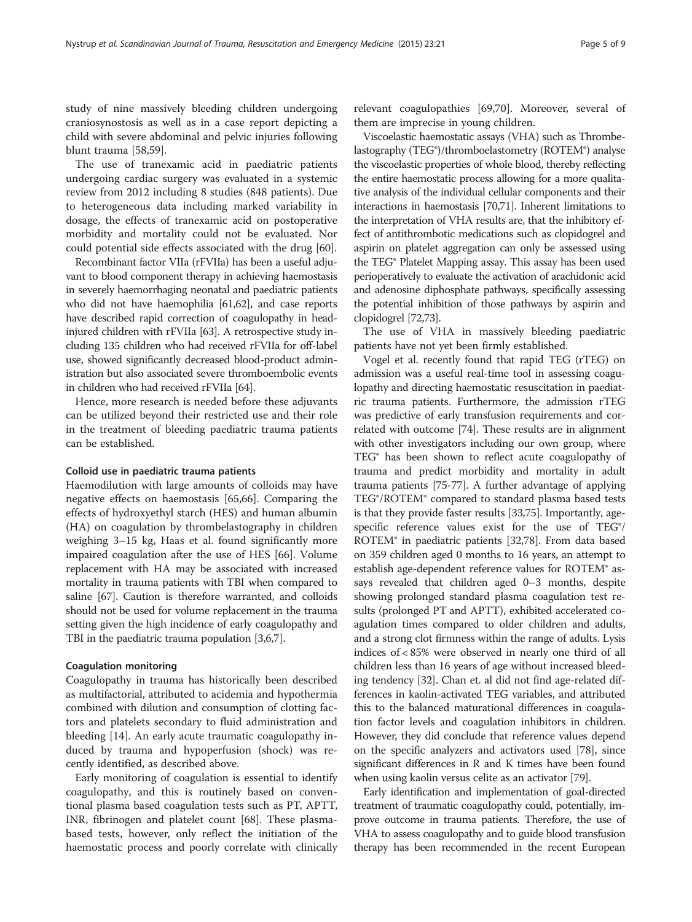study of nine massively bleeding children undergoing craniosynostosis as well as in a case report depicting a child with severe abdominal and pelvic injuries following blunt trauma [\[58,59](#page-7-0)].

The use of tranexamic acid in paediatric patients undergoing cardiac surgery was evaluated in a systemic review from 2012 including 8 studies (848 patients). Due to heterogeneous data including marked variability in dosage, the effects of tranexamic acid on postoperative morbidity and mortality could not be evaluated. Nor could potential side effects associated with the drug [[60\]](#page-7-0).

Recombinant factor VIIa (rFVIIa) has been a useful adjuvant to blood component therapy in achieving haemostasis in severely haemorrhaging neonatal and paediatric patients who did not have haemophilia [\[61,62](#page-7-0)], and case reports have described rapid correction of coagulopathy in headinjured children with rFVIIa [[63](#page-7-0)]. A retrospective study including 135 children who had received rFVIIa for off-label use, showed significantly decreased blood-product administration but also associated severe thromboembolic events in children who had received rFVIIa [\[64\]](#page-7-0).

Hence, more research is needed before these adjuvants can be utilized beyond their restricted use and their role in the treatment of bleeding paediatric trauma patients can be established.

# Colloid use in paediatric trauma patients

Haemodilution with large amounts of colloids may have negative effects on haemostasis [\[65,66\]](#page-7-0). Comparing the effects of hydroxyethyl starch (HES) and human albumin (HA) on coagulation by thrombelastography in children weighing 3–15 kg, Haas et al. found significantly more impaired coagulation after the use of HES [\[66](#page-7-0)]. Volume replacement with HA may be associated with increased mortality in trauma patients with TBI when compared to saline [[67](#page-8-0)]. Caution is therefore warranted, and colloids should not be used for volume replacement in the trauma setting given the high incidence of early coagulopathy and TBI in the paediatric trauma population [\[3,6,7](#page-6-0)].

### Coagulation monitoring

Coagulopathy in trauma has historically been described as multifactorial, attributed to acidemia and hypothermia combined with dilution and consumption of clotting factors and platelets secondary to fluid administration and bleeding [\[14](#page-6-0)]. An early acute traumatic coagulopathy induced by trauma and hypoperfusion (shock) was recently identified, as described above.

Early monitoring of coagulation is essential to identify coagulopathy, and this is routinely based on conventional plasma based coagulation tests such as PT, APTT, INR, fibrinogen and platelet count [\[68](#page-8-0)]. These plasmabased tests, however, only reflect the initiation of the haemostatic process and poorly correlate with clinically

relevant coagulopathies [\[69,70](#page-8-0)]. Moreover, several of them are imprecise in young children.

Viscoelastic haemostatic assays (VHA) such as Thrombelastography (TEG®)/thromboelastometry (ROTEM®) analyse the viscoelastic properties of whole blood, thereby reflecting the entire haemostatic process allowing for a more qualitative analysis of the individual cellular components and their interactions in haemostasis [\[70,71\]](#page-8-0). Inherent limitations to the interpretation of VHA results are, that the inhibitory effect of antithrombotic medications such as clopidogrel and aspirin on platelet aggregation can only be assessed using the TEG® Platelet Mapping assay. This assay has been used perioperatively to evaluate the activation of arachidonic acid and adenosine diphosphate pathways, specifically assessing the potential inhibition of those pathways by aspirin and clopidogrel [[72,73\]](#page-8-0).

The use of VHA in massively bleeding paediatric patients have not yet been firmly established.

Vogel et al. recently found that rapid TEG (rTEG) on admission was a useful real-time tool in assessing coagulopathy and directing haemostatic resuscitation in paediatric trauma patients. Furthermore, the admission rTEG was predictive of early transfusion requirements and correlated with outcome [\[74\]](#page-8-0). These results are in alignment with other investigators including our own group, where TEG® has been shown to reflect acute coagulopathy of trauma and predict morbidity and mortality in adult trauma patients [[75](#page-8-0)-[77](#page-8-0)]. A further advantage of applying TEG®/ROTEM® compared to standard plasma based tests is that they provide faster results [[33](#page-7-0)[,75\]](#page-8-0). Importantly, agespecific reference values exist for the use of TEG®/ ROTEM® in paediatric patients [\[32,](#page-7-0)[78](#page-8-0)]. From data based on 359 children aged 0 months to 16 years, an attempt to establish age-dependent reference values for ROTEM® assays revealed that children aged 0–3 months, despite showing prolonged standard plasma coagulation test results (prolonged PT and APTT), exhibited accelerated coagulation times compared to older children and adults, and a strong clot firmness within the range of adults. Lysis indices of < 85% were observed in nearly one third of all children less than 16 years of age without increased bleeding tendency [\[32\]](#page-7-0). Chan et. al did not find age-related differences in kaolin-activated TEG variables, and attributed this to the balanced maturational differences in coagulation factor levels and coagulation inhibitors in children. However, they did conclude that reference values depend on the specific analyzers and activators used [\[78\]](#page-8-0), since significant differences in R and K times have been found when using kaolin versus celite as an activator [\[79\]](#page-8-0).

Early identification and implementation of goal-directed treatment of traumatic coagulopathy could, potentially, improve outcome in trauma patients. Therefore, the use of VHA to assess coagulopathy and to guide blood transfusion therapy has been recommended in the recent European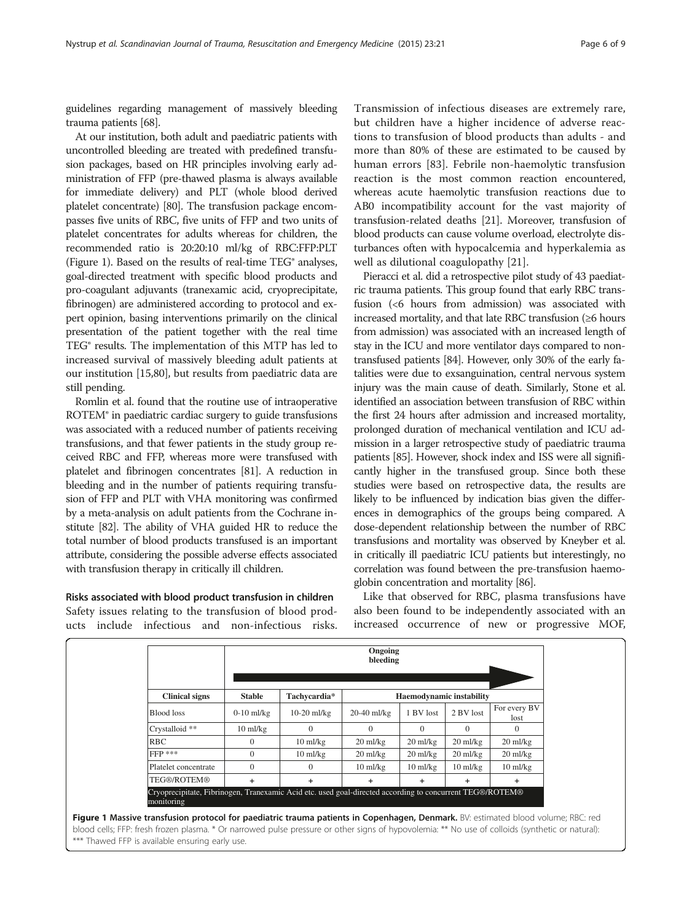guidelines regarding management of massively bleeding trauma patients [[68](#page-8-0)].

At our institution, both adult and paediatric patients with uncontrolled bleeding are treated with predefined transfusion packages, based on HR principles involving early administration of FFP (pre-thawed plasma is always available for immediate delivery) and PLT (whole blood derived platelet concentrate) [\[80\]](#page-8-0). The transfusion package encompasses five units of RBC, five units of FFP and two units of platelet concentrates for adults whereas for children, the recommended ratio is 20:20:10 ml/kg of RBC:FFP:PLT (Figure 1). Based on the results of real-time TEG® analyses, goal-directed treatment with specific blood products and pro-coagulant adjuvants (tranexamic acid, cryoprecipitate, fibrinogen) are administered according to protocol and expert opinion, basing interventions primarily on the clinical presentation of the patient together with the real time TEG® results. The implementation of this MTP has led to increased survival of massively bleeding adult patients at our institution [\[15](#page-6-0)[,80\]](#page-8-0), but results from paediatric data are still pending.

Romlin et al. found that the routine use of intraoperative ROTEM® in paediatric cardiac surgery to guide transfusions was associated with a reduced number of patients receiving transfusions, and that fewer patients in the study group received RBC and FFP, whereas more were transfused with platelet and fibrinogen concentrates [\[81\]](#page-8-0). A reduction in bleeding and in the number of patients requiring transfusion of FFP and PLT with VHA monitoring was confirmed by a meta-analysis on adult patients from the Cochrane institute [[82](#page-8-0)]. The ability of VHA guided HR to reduce the total number of blood products transfused is an important attribute, considering the possible adverse effects associated with transfusion therapy in critically ill children.

Risks associated with blood product transfusion in children Safety issues relating to the transfusion of blood products include infectious and non-infectious risks.

Transmission of infectious diseases are extremely rare, but children have a higher incidence of adverse reactions to transfusion of blood products than adults - and more than 80% of these are estimated to be caused by human errors [\[83](#page-8-0)]. Febrile non-haemolytic transfusion reaction is the most common reaction encountered, whereas acute haemolytic transfusion reactions due to AB0 incompatibility account for the vast majority of transfusion-related deaths [[21](#page-7-0)]. Moreover, transfusion of blood products can cause volume overload, electrolyte disturbances often with hypocalcemia and hyperkalemia as well as dilutional coagulopathy [[21\]](#page-7-0).

Pieracci et al. did a retrospective pilot study of 43 paediatric trauma patients. This group found that early RBC transfusion (<6 hours from admission) was associated with increased mortality, and that late RBC transfusion (≥6 hours from admission) was associated with an increased length of stay in the ICU and more ventilator days compared to nontransfused patients [[84](#page-8-0)]. However, only 30% of the early fatalities were due to exsanguination, central nervous system injury was the main cause of death. Similarly, Stone et al. identified an association between transfusion of RBC within the first 24 hours after admission and increased mortality, prolonged duration of mechanical ventilation and ICU admission in a larger retrospective study of paediatric trauma patients [\[85](#page-8-0)]. However, shock index and ISS were all significantly higher in the transfused group. Since both these studies were based on retrospective data, the results are likely to be influenced by indication bias given the differences in demographics of the groups being compared. A dose-dependent relationship between the number of RBC transfusions and mortality was observed by Kneyber et al. in critically ill paediatric ICU patients but interestingly, no correlation was found between the pre-transfusion haemoglobin concentration and mortality [[86](#page-8-0)].

Like that observed for RBC, plasma transfusions have also been found to be independently associated with an increased occurrence of new or progressive MOF,

|                                                                                                                        | Ongoing<br>bleeding |                    |                          |                    |                    |                      |  |  |
|------------------------------------------------------------------------------------------------------------------------|---------------------|--------------------|--------------------------|--------------------|--------------------|----------------------|--|--|
| <b>Clinical signs</b>                                                                                                  | <b>Stable</b>       | Tachycardia*       | Haemodynamic instability |                    |                    |                      |  |  |
| Blood loss                                                                                                             | $0-10$ ml/kg        | $10-20$ ml/kg      | $20 - 40$ ml/kg          | 1 BV lost          | 2 BV lost          | For every BV<br>lost |  |  |
| Crystalloid **                                                                                                         | $10$ ml/kg          | $\Omega$           | $\Omega$                 | $\Omega$           | $\Omega$           | $\Omega$             |  |  |
| <b>RBC</b>                                                                                                             | $\Omega$            | $10 \text{ ml/kg}$ | $20 \text{ ml/kg}$       | $20 \text{ ml/kg}$ | $20 \text{ ml/kg}$ | $20 \text{ ml/kg}$   |  |  |
| $FFP$ ***                                                                                                              | $\Omega$            | $10$ ml/kg         | $20 \text{ ml/kg}$       | $20 \text{ ml/kg}$ | $20 \text{ ml/kg}$ | $20 \text{ ml/kg}$   |  |  |
| Platelet concentrate                                                                                                   | $\Omega$            | $\Omega$           | $10$ ml/kg               | $10$ ml/kg         | $10 \text{ ml/kg}$ | $10 \text{ ml/kg}$   |  |  |
| TEG®/ROTEM®                                                                                                            | $\ddot{}$           | $\ddot{}$          | $\ddot{}$                | $+$                | ÷.                 | ÷                    |  |  |
| Cryoprecipitate, Fibrinogen, Tranexamic Acid etc. used goal-directed according to concurrent TEG®/ROTEM®<br>monitoring |                     |                    |                          |                    |                    |                      |  |  |

blood cells; FFP: fresh frozen plasma. \* Or narrowed pulse pressure or other signs of hypovolemia: \*\* No use of colloids (synthetic or natural): \*\*\* Thawed FFP is available ensuring early use.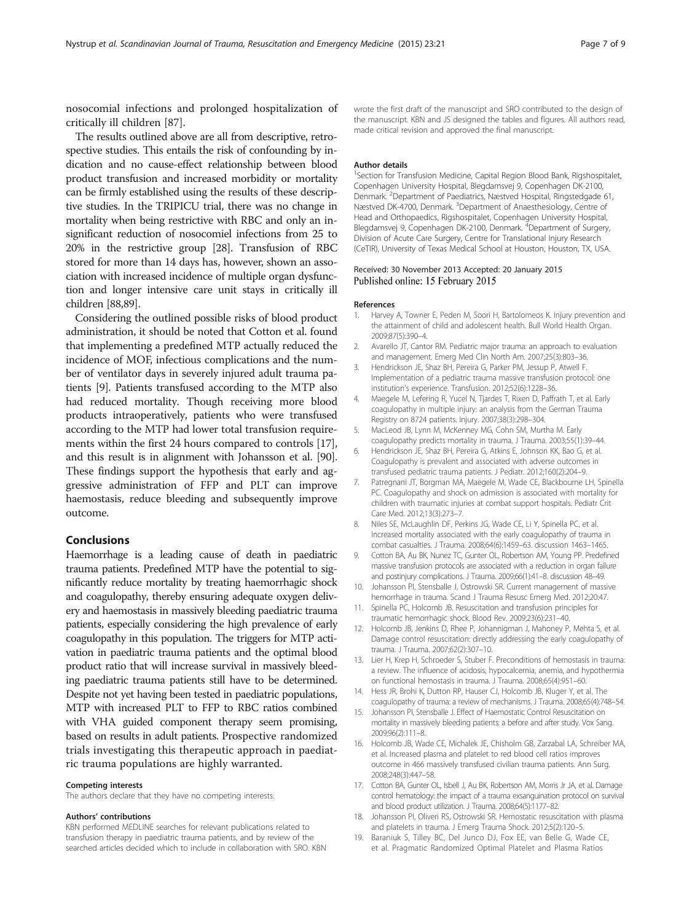<span id="page-6-0"></span>nosocomial infections and prolonged hospitalization of critically ill children [[87](#page-8-0)].

The results outlined above are all from descriptive, retrospective studies. This entails the risk of confounding by indication and no cause-effect relationship between blood product transfusion and increased morbidity or mortality can be firmly established using the results of these descriptive studies. In the TRIPICU trial, there was no change in mortality when being restrictive with RBC and only an insignificant reduction of nosocomiel infections from 25 to 20% in the restrictive group [\[28](#page-7-0)]. Transfusion of RBC stored for more than 14 days has, however, shown an association with increased incidence of multiple organ dysfunction and longer intensive care unit stays in critically ill children [[88,89\]](#page-8-0).

Considering the outlined possible risks of blood product administration, it should be noted that Cotton et al. found that implementing a predefined MTP actually reduced the incidence of MOF, infectious complications and the number of ventilator days in severely injured adult trauma patients [9]. Patients transfused according to the MTP also had reduced mortality. Though receiving more blood products intraoperatively, patients who were transfused according to the MTP had lower total transfusion requirements within the first 24 hours compared to controls [17], and this result is in alignment with Johansson et al. [[90](#page-8-0)]. These findings support the hypothesis that early and aggressive administration of FFP and PLT can improve haemostasis, reduce bleeding and subsequently improve outcome.

# Conclusions

Haemorrhage is a leading cause of death in paediatric trauma patients. Predefined MTP have the potential to significantly reduce mortality by treating haemorrhagic shock and coagulopathy, thereby ensuring adequate oxygen delivery and haemostasis in massively bleeding paediatric trauma patients, especially considering the high prevalence of early coagulopathy in this population. The triggers for MTP activation in paediatric trauma patients and the optimal blood product ratio that will increase survival in massively bleeding paediatric trauma patients still have to be determined. Despite not yet having been tested in paediatric populations, MTP with increased PLT to FFP to RBC ratios combined with VHA guided component therapy seem promising, based on results in adult patients. Prospective randomized trials investigating this therapeutic approach in paediatric trauma populations are highly warranted.

#### Competing interests

The authors declare that they have no competing interests.

#### Authors' contributions

KBN performed MEDLINE searches for relevant publications related to transfusion therapy in paediatric trauma patients, and by review of the searched articles decided which to include in collaboration with SRO. KBN

wrote the first draft of the manuscript and SRO contributed to the design of the manuscript. KBN and JS designed the tables and figures. All authors read, made critical revision and approved the final manuscript.

#### Author details

<sup>1</sup>Section for Transfusion Medicine, Capital Region Blood Bank, Rigshospitalet, Copenhagen University Hospital, Blegdamsvej 9, Copenhagen DK-2100, Denmark. <sup>2</sup>Department of Paediatrics, Næstved Hospital, Ringstedgade 61 Næstved DK-4700, Denmark. <sup>3</sup>Department of Anaesthesiology, Centre of Head and Orthopaedics, Rigshospitalet, Copenhagen University Hospital, Blegdamsvej 9, Copenhagen DK-2100, Denmark. <sup>4</sup>Department of Surgery, Division of Acute Care Surgery, Centre for Translational Injury Research (CeTIR), University of Texas Medical School at Houston, Houston, TX, USA.

#### Received: 30 November 2013 Accepted: 20 January 2015 Published online: 15 February 2015

#### References

- 1. Harvey A, Towner E, Peden M, Soori H, Bartolomeos K. Injury prevention and the attainment of child and adolescent health. Bull World Health Organ. 2009;87(5):390–4.
- 2. Avarello JT, Cantor RM. Pediatric major trauma: an approach to evaluation and management. Emerg Med Clin North Am. 2007;25(3):803–36.
- 3. Hendrickson JE, Shaz BH, Pereira G, Parker PM, Jessup P, Atwell F. Implementation of a pediatric trauma massive transfusion protocol: one institution's experience. Transfusion. 2012;52(6):1228–36.
- 4. Maegele M, Lefering R, Yucel N, Tjardes T, Rixen D, Paffrath T, et al. Early coagulopathy in multiple injury: an analysis from the German Trauma Registry on 8724 patients. Injury. 2007;38(3):298–304.
- 5. MacLeod JB, Lynn M, McKenney MG, Cohn SM, Murtha M. Early coagulopathy predicts mortality in trauma. J Trauma. 2003;55(1):39–44.
- 6. Hendrickson JE, Shaz BH, Pereira G, Atkins E, Johnson KK, Bao G, et al. Coagulopathy is prevalent and associated with adverse outcomes in transfused pediatric trauma patients. J Pediatr. 2012;160(2):204–9.
- 7. Patregnani JT, Borgman MA, Maegele M, Wade CE, Blackbourne LH, Spinella PC. Coagulopathy and shock on admission is associated with mortality for children with traumatic injuries at combat support hospitals. Pediatr Crit Care Med. 2012;13(3):273–7.
- 8. Niles SE, McLaughlin DF, Perkins JG, Wade CE, Li Y, Spinella PC, et al. Increased mortality associated with the early coagulopathy of trauma in combat casualties. J Trauma. 2008;64(6):1459–63. discussion 1463–1465.
- 9. Cotton BA, Au BK, Nunez TC, Gunter OL, Robertson AM, Young PP. Predefined massive transfusion protocols are associated with a reduction in organ failure and postinjury complications. J Trauma. 2009;66(1):41–8. discussion 48–49.
- 10. Johansson PI, Stensballe J, Ostrowski SR. Current management of massive hemorrhage in trauma. Scand J Trauma Resusc Emerg Med. 2012;20:47.
- 11. Spinella PC, Holcomb JB. Resuscitation and transfusion principles for traumatic hemorrhagic shock. Blood Rev. 2009;23(6):231–40.
- 12. Holcomb JB, Jenkins D, Rhee P, Johannigman J, Mahoney P, Mehta S, et al. Damage control resuscitation: directly addressing the early coagulopathy of trauma. J Trauma. 2007;62(2):307–10.
- 13. Lier H, Krep H, Schroeder S, Stuber F. Preconditions of hemostasis in trauma: a review. The influence of acidosis, hypocalcemia, anemia, and hypothermia on functional hemostasis in trauma. J Trauma. 2008;65(4):951–60.
- 14. Hess JR, Brohi K, Dutton RP, Hauser CJ, Holcomb JB, Kluger Y, et al. The coagulopathy of trauma: a review of mechanisms. J Trauma. 2008;65(4):748–54.
- 15. Johansson PI, Stensballe J. Effect of Haemostatic Control Resuscitation on mortality in massively bleeding patients: a before and after study. Vox Sang. 2009;96(2):111–8.
- 16. Holcomb JB, Wade CE, Michalek JE, Chisholm GB, Zarzabal LA, Schreiber MA, et al. Increased plasma and platelet to red blood cell ratios improves outcome in 466 massively transfused civilian trauma patients. Ann Surg. 2008;248(3):447–58.
- 17. Cotton BA, Gunter OL, Isbell J, Au BK, Robertson AM, Morris Jr JA, et al. Damage control hematology: the impact of a trauma exsanguination protocol on survival and blood product utilization. J Trauma. 2008;64(5):1177–82.
- 18. Johansson PI, Oliveri RS, Ostrowski SR. Hemostatic resuscitation with plasma and platelets in trauma. J Emerg Trauma Shock. 2012;5(2):120–5.
- 19. Baraniuk S, Tilley BC, Del Junco DJ, Fox EE, van Belle G, Wade CE, et al. Pragmatic Randomized Optimal Platelet and Plasma Ratios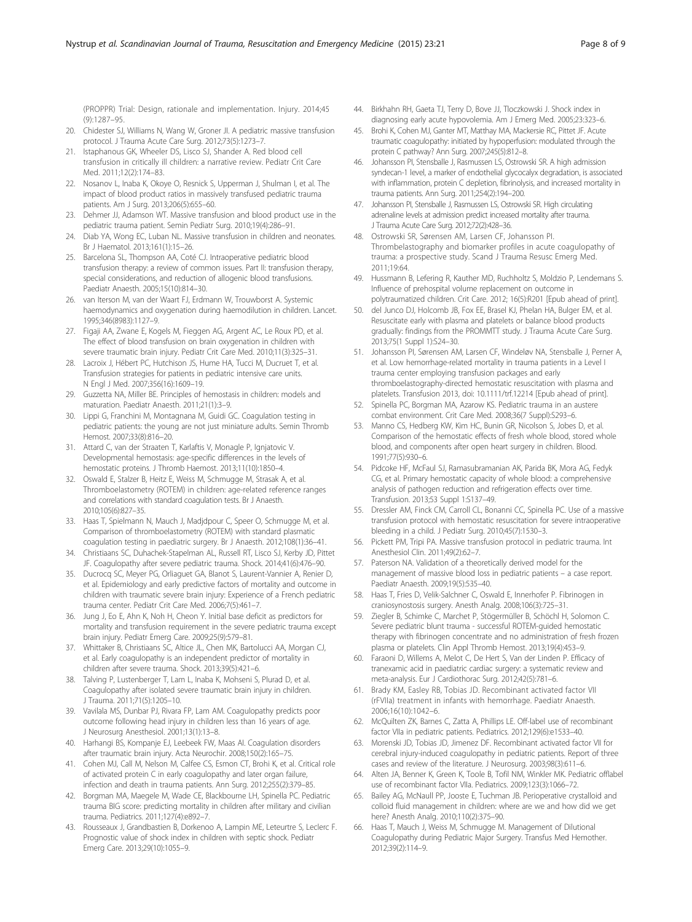<span id="page-7-0"></span>(PROPPR) Trial: Design, rationale and implementation. Injury. 2014;45 (9):1287–95.

- 20. Chidester SJ, Williams N, Wang W, Groner JI. A pediatric massive transfusion protocol. J Trauma Acute Care Surg. 2012;73(5):1273–7.
- 21. Istaphanous GK, Wheeler DS, Lisco SJ, Shander A. Red blood cell transfusion in critically ill children: a narrative review. Pediatr Crit Care Med. 2011;12(2):174–83.
- 22. Nosanov L, Inaba K, Okoye O, Resnick S, Upperman J, Shulman I, et al. The impact of blood product ratios in massively transfused pediatric trauma patients. Am J Surg. 2013;206(5):655–60.
- 23. Dehmer JJ, Adamson WT. Massive transfusion and blood product use in the pediatric trauma patient. Semin Pediatr Surg. 2010;19(4):286–91.
- 24. Diab YA, Wong EC, Luban NL. Massive transfusion in children and neonates. Br J Haematol. 2013;161(1):15–26.
- 25. Barcelona SL, Thompson AA, Coté CJ. Intraoperative pediatric blood transfusion therapy: a review of common issues. Part II: transfusion therapy, special considerations, and reduction of allogenic blood transfusions. Paediatr Anaesth. 2005;15(10):814–30.
- 26. van Iterson M, van der Waart FJ, Erdmann W, Trouwborst A. Systemic haemodynamics and oxygenation during haemodilution in children. Lancet. 1995;346(8983):1127–9.
- 27. Figaji AA, Zwane E, Kogels M, Fieggen AG, Argent AC, Le Roux PD, et al. The effect of blood transfusion on brain oxygenation in children with severe traumatic brain injury. Pediatr Crit Care Med. 2010;11(3):325–31.
- 28. Lacroix J, Hébert PC, Hutchison JS, Hume HA, Tucci M, Ducruet T, et al. Transfusion strategies for patients in pediatric intensive care units. N Engl J Med. 2007;356(16):1609–19.
- 29. Guzzetta NA, Miller BE. Principles of hemostasis in children: models and maturation. Paediatr Anaesth. 2011;21(1):3–9.
- 30. Lippi G, Franchini M, Montagnana M, Guidi GC. Coagulation testing in pediatric patients: the young are not just miniature adults. Semin Thromb Hemost. 2007;33(8):816–20.
- 31. Attard C, van der Straaten T, Karlaftis V, Monagle P, Ignjatovic V. Developmental hemostasis: age-specific differences in the levels of hemostatic proteins. J Thromb Haemost. 2013;11(10):1850–4.
- 32. Oswald E, Stalzer B, Heitz E, Weiss M, Schmugge M, Strasak A, et al. Thromboelastometry (ROTEM) in children: age-related reference ranges and correlations with standard coagulation tests. Br J Anaesth. 2010;105(6):827–35.
- 33. Haas T, Spielmann N, Mauch J, Madjdpour C, Speer O, Schmugge M, et al. Comparison of thromboelastometry (ROTEM) with standard plasmatic coagulation testing in paediatric surgery. Br J Anaesth. 2012;108(1):36–41.
- 34. Christiaans SC, Duhachek-Stapelman AL, Russell RT, Lisco SJ, Kerby JD, Pittet JF. Coagulopathy after severe pediatric trauma. Shock. 2014;41(6):476–90.
- 35. Ducrocq SC, Meyer PG, Orliaguet GA, Blanot S, Laurent-Vannier A, Renier D, et al. Epidemiology and early predictive factors of mortality and outcome in children with traumatic severe brain injury: Experience of a French pediatric trauma center. Pediatr Crit Care Med. 2006;7(5):461–7.
- 36. Jung J, Eo E, Ahn K, Noh H, Cheon Y. Initial base deficit as predictors for mortality and transfusion requirement in the severe pediatric trauma except brain injury. Pediatr Emerg Care. 2009;25(9):579–81.
- 37. Whittaker B, Christiaans SC, Altice JL, Chen MK, Bartolucci AA, Morgan CJ, et al. Early coagulopathy is an independent predictor of mortality in children after severe trauma. Shock. 2013;39(5):421–6.
- 38. Talving P, Lustenberger T, Lam L, Inaba K, Mohseni S, Plurad D, et al. Coagulopathy after isolated severe traumatic brain injury in children. J Trauma. 2011;71(5):1205–10.
- 39. Vavilala MS, Dunbar PJ, Rivara FP, Lam AM. Coagulopathy predicts poor outcome following head injury in children less than 16 years of age. J Neurosurg Anesthesiol. 2001;13(1):13–8.
- 40. Harhangi BS, Kompanje EJ, Leebeek FW, Maas AI. Coagulation disorders after traumatic brain injury. Acta Neurochir. 2008;150(2):165–75.
- 41. Cohen MJ, Call M, Nelson M, Calfee CS, Esmon CT, Brohi K, et al. Critical role of activated protein C in early coagulopathy and later organ failure, infection and death in trauma patients. Ann Surg. 2012;255(2):379–85.
- 42. Borgman MA, Maegele M, Wade CE, Blackbourne LH, Spinella PC. Pediatric trauma BIG score: predicting mortality in children after military and civilian trauma. Pediatrics. 2011;127(4):e892–7.
- 43. Rousseaux J, Grandbastien B, Dorkenoo A, Lampin ME, Leteurtre S, Leclerc F. Prognostic value of shock index in children with septic shock. Pediatr Emerg Care. 2013;29(10):1055–9.
- 44. Birkhahn RH, Gaeta TJ, Terry D, Bove JJ, Tloczkowski J. Shock index in diagnosing early acute hypovolemia. Am J Emerg Med. 2005;23:323–6.
- 45. Brohi K, Cohen MJ, Ganter MT, Matthay MA, Mackersie RC, Pittet JF. Acute traumatic coagulopathy: initiated by hypoperfusion: modulated through the protein C pathway? Ann Surg. 2007;245(5):812–8.
- 46. Johansson PI, Stensballe J, Rasmussen LS, Ostrowski SR. A high admission syndecan-1 level, a marker of endothelial glycocalyx degradation, is associated with inflammation, protein C depletion, fibrinolysis, and increased mortality in trauma patients. Ann Surg. 2011;254(2):194–200.
- 47. Johansson PI, Stensballe J, Rasmussen LS, Ostrowski SR. High circulating adrenaline levels at admission predict increased mortality after trauma. J Trauma Acute Care Surg. 2012;72(2):428–36.
- 48. Ostrowski SR, Sørensen AM, Larsen CF, Johansson PI. Thrombelastography and biomarker profiles in acute coagulopathy of trauma: a prospective study. Scand J Trauma Resusc Emerg Med. 2011;19:64.
- 49. Hussmann B, Lefering R, Kauther MD, Ruchholtz S, Moldzio P, Lendemans S. Influence of prehospital volume replacement on outcome in polytraumatized children. Crit Care. 2012; 16(5):R201 [Epub ahead of print].
- 50. del Junco DJ, Holcomb JB, Fox EE, Brasel KJ, Phelan HA, Bulger EM, et al. Resuscitate early with plasma and platelets or balance blood products gradually: findings from the PROMMTT study. J Trauma Acute Care Surg. 2013;75(1 Suppl 1):S24–30.
- 51. Johansson PI, Sørensen AM, Larsen CF, Windeløv NA, Stensballe J, Perner A, et al. Low hemorrhage-related mortality in trauma patients in a Level I trauma center employing transfusion packages and early thromboelastography-directed hemostatic resuscitation with plasma and platelets. Transfusion 2013, doi: 10.1111/trf.12214 [Epub ahead of print].
- 52. Spinella PC, Borgman MA, Azarow KS. Pediatric trauma in an austere combat environment. Crit Care Med. 2008;36(7 Suppl):S293–6.
- 53. Manno CS, Hedberg KW, Kim HC, Bunin GR, Nicolson S, Jobes D, et al. Comparison of the hemostatic effects of fresh whole blood, stored whole blood, and components after open heart surgery in children. Blood. 1991;77(5):930–6.
- 54. Pidcoke HF, McFaul SJ, Ramasubramanian AK, Parida BK, Mora AG, Fedyk CG, et al. Primary hemostatic capacity of whole blood: a comprehensive analysis of pathogen reduction and refrigeration effects over time. Transfusion. 2013;53 Suppl 1:S137–49.
- 55. Dressler AM, Finck CM, Carroll CL, Bonanni CC, Spinella PC. Use of a massive transfusion protocol with hemostatic resuscitation for severe intraoperative bleeding in a child. J Pediatr Surg. 2010;45(7):1530–3.
- 56. Pickett PM, Tripi PA. Massive transfusion protocol in pediatric trauma. Int Anesthesiol Clin. 2011;49(2):62–7.
- 57. Paterson NA. Validation of a theoretically derived model for the management of massive blood loss in pediatric patients – a case report. Paediatr Anaesth. 2009;19(5):535–40.
- 58. Haas T, Fries D, Velik-Salchner C, Oswald E, Innerhofer P. Fibrinogen in craniosynostosis surgery. Anesth Analg. 2008;106(3):725–31.
- 59. Ziegler B, Schimke C, Marchet P, Stögermüller B, Schöchl H, Solomon C. Severe pediatric blunt trauma - successful ROTEM-guided hemostatic therapy with fibrinogen concentrate and no administration of fresh frozen plasma or platelets. Clin Appl Thromb Hemost. 2013;19(4):453–9.
- 60. Faraoni D, Willems A, Melot C, De Hert S, Van der Linden P. Efficacy of tranexamic acid in paediatric cardiac surgery: a systematic review and meta-analysis. Eur J Cardiothorac Surg. 2012;42(5):781–6.
- 61. Brady KM, Easley RB, Tobias JD. Recombinant activated factor VII (rFVIIa) treatment in infants with hemorrhage. Paediatr Anaesth. 2006;16(10):1042–6.
- 62. McQuilten ZK, Barnes C, Zatta A, Phillips LE. Off-label use of recombinant factor VIIa in pediatric patients. Pediatrics. 2012;129(6):e1533–40.
- 63. Morenski JD, Tobias JD, Jimenez DF. Recombinant activated factor VII for cerebral injury-induced coagulopathy in pediatric patients. Report of three cases and review of the literature. J Neurosurg. 2003;98(3):611–6.
- 64. Alten JA, Benner K, Green K, Toole B, Tofil NM, Winkler MK. Pediatric offlabel use of recombinant factor VIIa. Pediatrics. 2009;123(3):1066–72.
- 65. Bailey AG, McNaull PP, Jooste E, Tuchman JB. Perioperative crystalloid and colloid fluid management in children: where are we and how did we get here? Anesth Analg. 2010;110(2):375–90.
- 66. Haas T, Mauch J, Weiss M, Schmugge M. Management of Dilutional Coagulopathy during Pediatric Major Surgery. Transfus Med Hemother. 2012;39(2):114–9.